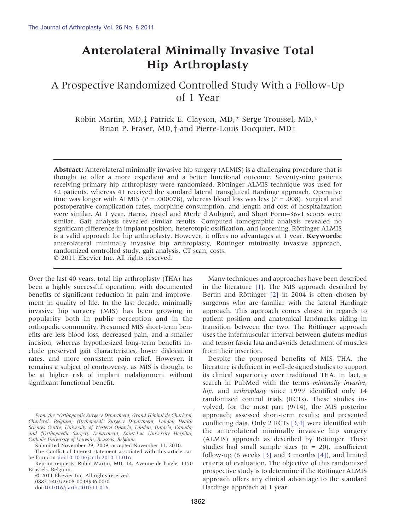# Anterolateral Minimally Invasive Total Hip Arthroplasty

A Prospective Randomized Controlled Study With a Follow-Up of 1 Year

Robin Martin, MD,<sup> $\ddagger$ </sup> Patrick E. Clayson, MD,\* Serge Troussel, MD,\* Brian P. Fraser, MD,  $\dagger$  and Pierre-Louis Docquier, MD $\dagger$ 

Abstract: Anterolateral minimally invasive hip surgery (ALMIS) is a challenging procedure that is thought to offer a more expedient and a better functional outcome. Seventy-nine patients receiving primary hip arthroplasty were randomized. Röttinger ALMIS technique was used for 42 patients, whereas 41 received the standard lateral transgluteal Hardinge approach. Operative time was longer with ALMIS ( $P = .000078$ ), whereas blood loss was less ( $P = .008$ ). Surgical and postoperative complication rates, morphine consumption, and length and cost of hospitalization were similar. At 1 year, Harris, Postel and Merle d'Aubigné, and Short Form–36v1 scores were similar. Gait analysis revealed similar results. Computed tomographic analysis revealed no significant difference in implant position, heterotopic ossification, and loosening. Röttinger ALMIS is a valid approach for hip arthroplasty. However, it offers no advantages at 1 year. Keywords: anterolateral minimally invasive hip arthroplasty, Röttinger minimally invasive approach, randomized controlled study, gait analysis, CT scan, costs. © 2011 Elsevier Inc. All rights reserved.

Over the last 40 years, total hip arthroplasty (THA) has been a highly successful operation, with documented benefits of significant reduction in pain and improvement in quality of life. In the last decade, minimally invasive hip surgery (MIS) has been growing in popularity both in public perception and in the orthopedic community. Presumed MIS short-term benefits are less blood loss, decreased pain, and a smaller incision, whereas hypothesized long-term benefits include preserved gait characteristics, lower dislocation rates, and more consistent pain relief. However, it remains a subject of controversy, as MIS is thought to be at higher risk of implant malalignment without significant functional benefit.

© 2011 Elsevier Inc. All rights reserved. 0883-5403/2608-0039\$36.00/0

[doi:10.1016/j.arth.2010.11.016](http://dx.doi.org/10.1016/j.arth.2010.11.016)

Many techniques and approaches have been described in the literature [\[1\].](#page-9-0) The MIS approach described by Bertin and Röttinger [\[2\]](#page-9-0) in 2004 is often chosen by surgeons who are familiar with the lateral Hardinge approach. This approach comes closest in regards to patient position and anatomical landmarks aiding in transition between the two. The Röttinger approach uses the intermuscular interval between gluteus medius and tensor fascia lata and avoids detachment of muscles from their insertion.

Despite the proposed benefits of MIS THA, the literature is deficient in well-designed studies to support its clinical superiority over traditional THA. In fact, a search in PubMed with the terms minimally invasive, hip, and arthroplasty since 1999 identified only 14 randomized control trials (RCTs). These studies involved, for the most part (9/14), the MIS posterior approach; assessed short-term results; and presented conflicting data. Only 2 RCTs [\[3,4\]](#page-9-0) were identified with the anterolateral minimally invasive hip surgery (ALMIS) approach as described by Röttinger. These studies had small sample sizes  $(n = 20)$ , insufficient follow-up (6 weeks [\[3\]](#page-9-0) and 3 months [\[4\]](#page-9-0)), and limited criteria of evaluation. The objective of this randomized prospective study is to determine if the Röttinger ALMIS approach offers any clinical advantage to the standard Hardinge approach at 1 year.

From the \*Orthopaedic Surgery Department, Grand Hôpital de Charleroi, Charleroi, Belgium; †Orthopaedic Surgery Department, London Health Sciences Centre, University of Western Ontario, London, Ontario, Canada; and ‡Orthopaedic Surgery Department, Saint-Luc University Hospital, Catholic University of Louvain, Brussels, Belgium.

Submitted November 29, 2009; accepted November 11, 2010. The Conflict of Interest statement associated with this article can

be found at [doi:10.1016/j.arth.2010.11.016](http://dx.doi.org/10.1016/j.arth.2010.11.016). Reprint requests: Robin Martin, MD, 14, Avenue de l'aigle, 1150

Brussels, Belgium.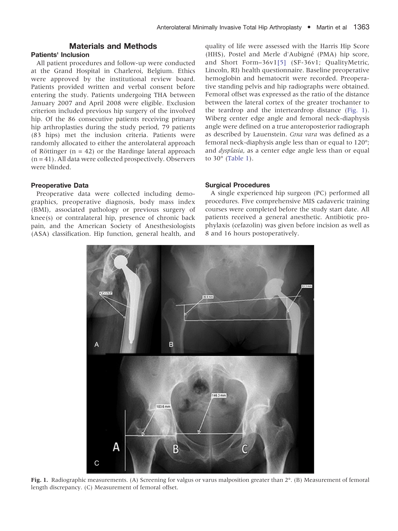# Materials and Methods

# <span id="page-1-0"></span>Patients' Inclusion

All patient procedures and follow-up were conducted at the Grand Hospital in Charleroi, Belgium. Ethics were approved by the institutional review board. Patients provided written and verbal consent before entering the study. Patients undergoing THA between January 2007 and April 2008 were eligible. Exclusion criterion included previous hip surgery of the involved hip. Of the 86 consecutive patients receiving primary hip arthroplasties during the study period, 79 patients (83 hips) met the inclusion criteria. Patients were randomly allocated to either the anterolateral approach of Röttinger  $(n = 42)$  or the Hardinge lateral approach  $(n = 41)$ . All data were collected prospectively. Observers were blinded.

## Preoperative Data

Preoperative data were collected including demographics, preoperative diagnosis, body mass index (BMI), associated pathology or previous surgery of knee(s) or contralateral hip, presence of chronic back pain, and the American Society of Anesthesiologists (ASA) classification. Hip function, general health, and

quality of life were assessed with the Harris Hip Score (HHS), Postel and Merle d'Aubigné (PMA) hip score, and Short Form–36v1[\[5\]](#page-9-0) (SF-36v1; QualityMetric, Lincoln, RI) health questionnaire. Baseline preoperative hemoglobin and hematocrit were recorded. Preoperative standing pelvis and hip radiographs were obtained. Femoral offset was expressed as the ratio of the distance between the lateral cortex of the greater trochanter to the teardrop and the interteardrop distance (Fig. 1). Wiberg center edge angle and femoral neck-diaphysis angle were defined on a true anteroposterior radiograph as described by Lauenstein. Coxa vara was defined as a femoral neck-diaphysis angle less than or equal to 120°; and *dysplasia*, as a center edge angle less than or equal to 30° ([Table 1\)](#page-2-0).

## Surgical Procedures

A single experienced hip surgeon (PC) performed all procedures. Five comprehensive MIS cadaveric training courses were completed before the study start date. All patients received a general anesthetic. Antibiotic prophylaxis (cefazolin) was given before incision as well as 8 and 16 hours postoperatively.



Fig. 1. Radiographic measurements. (A) Screening for valgus or varus malposition greater than 2°. (B) Measurement of femoral length discrepancy. (C) Measurement of femoral offset.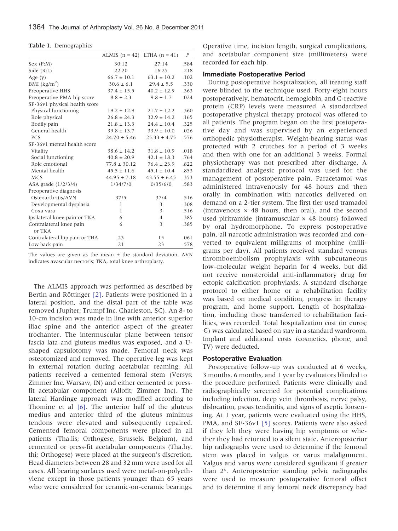<span id="page-2-0"></span>Table 1. Demographics

|                                    | ALMIS $(n = 42)$ LTHA $(n = 41)$ |                  | $\boldsymbol{P}$ |
|------------------------------------|----------------------------------|------------------|------------------|
| Sex(F:M)                           | 30:12                            | 27:14            | .584             |
| Side $(R:L)$                       | 22:20                            | 16:25            | .218             |
| Age $(y)$                          | $66.7 \pm 10.1$                  | $63.1 \pm 10.2$  | .102             |
| BMI $\frac{\text{kg}}{\text{m}^2}$ | $30.6 \pm 6.1$                   | $29.4 \pm 5.5$   | .330             |
| Preoperative HHS                   | $37.4 \pm 15.5$                  | $40.2 \pm 12.9$  | .363             |
| Preoperative PMA hip score         | $8.8 \pm 2.3$                    | $9.8 \pm 1.7$    | .024             |
| SF-36v1 physical health score      |                                  |                  |                  |
| Physical functioning               | $19.2 \pm 12.9$                  | $21.7 \pm 12.2$  | .360             |
| Role physical                      | $26.8 \pm 24.3$                  | $32.9 \pm 14.2$  | .165             |
| Bodily pain                        | $21.8 \pm 13.3$                  | $24.4 \pm 10.4$  | .325             |
| General health                     | $39.8 \pm 13.7$                  | $33.9 \pm 10.0$  | .026             |
| <b>PCS</b>                         | $24.70 \pm 5.46$                 | $25.33 \pm 4.75$ | .576             |
| SF-36v1 mental health score        |                                  |                  |                  |
| Vitality                           | $38.6 \pm 14.2$                  | $31.8 \pm 10.9$  | .018             |
| Social functioning                 | $40.8 \pm 20.9$                  | $42.1 \pm 18.3$  | .764             |
| Role emotional                     | $77.8 \pm 30.12$                 | $76.4 \pm 23.9$  | .822             |
| Mental health                      | $45.5 \pm 11.6$                  | $45.1 \pm 10.4$  | .853             |
| <b>MCS</b>                         | $44.95 \pm 7.18$                 | $43.55 \pm 6.45$ | .353             |
| ASA grade (1/2/3/4)                | 1/34/7/0                         | 0/35/6/0         | .583             |
| Preoperative diagnosis             |                                  |                  |                  |
| Osteoarthritis/AVN                 | 37/5                             | 37/4             | .516             |
| Developmental dysplasia            | 1                                | 3                | .308             |
| Coxa vara                          | 1                                | 3                | .516             |
| Ipsilateral knee pain or TKA       | 6                                | $\overline{4}$   | .385             |
| Contralateral knee pain<br>or TKA  | 6                                | 3                | .385             |
| Contralateral hip pain or THA      | 23                               | 15               | .061             |
| Low back pain                      | 21                               | 23               | .578             |

The values are given as the mean  $\pm$  the standard deviation. AVN indicates avascular necrosis; TKA, total knee arthroplasty.

The ALMIS approach was performed as described by Bertin and Röttinger [\[2\].](#page-9-0) Patients were positioned in a lateral position, and the distal part of the table was removed (Jupiter; Trumpf Inc, Charleston, SC). An 8- to 10-cm incision was made in line with anterior superior iliac spine and the anterior aspect of the greater trochanter. The intermuscular plane between tensor fascia lata and gluteus medius was exposed, and a Ushaped capsulotomy was made. Femoral neck was osteotomized and removed. The operative leg was kept in external rotation during acetabular reaming. All patients received a cemented femoral stem (Versys; Zimmer Inc, Warsaw, IN) and either cemented or pressfit acetabular component (Allofit; Zimmer Inc). The lateral Hardinge approach was modified according to Thomine et al [\[6\]](#page-9-0). The anterior half of the gluteus medius and anterior third of the gluteus minimus tendons were elevated and subsequently repaired. Cemented femoral components were placed in all patients (Tha.lis; Orthogese, Brussels, Belgium), and cemented or press-fit acetabular components (Tha.hy. thi; Orthogese) were placed at the surgeon's discretion. Head diameters between 28 and 32 mm were used for all cases. All bearing surfaces used were metal-on-polyethylene except in those patients younger than 65 years who were considered for ceramic-on-ceramic bearings.

Operative time, incision length, surgical complications, and acetabular component size (millimeters) were recorded for each hip.

#### Immediate Postoperative Period

During postoperative hospitalization, all treating staff were blinded to the technique used. Forty-eight hours postoperatively, hematocrit, hemoglobin, and C-reactive protein (CRP) levels were measured. A standardized postoperative physical therapy protocol was offered to all patients. The program began on the first postoperative day and was supervised by an experienced orthopedic physiotherapist. Weight-bearing status was protected with 2 crutches for a period of 3 weeks and then with one for an additional 3 weeks. Formal physiotherapy was not prescribed after discharge. A standardized analgesic protocol was used for the management of postoperative pain. Paracetamol was administered intravenously for 48 hours and then orally in combination with narcotics delivered on demand on a 2-tier system. The first tier used tramadol (intravenous  $\times$  48 hours, then oral), and the second used piritramide (intramuscular  $\times$  48 hours) followed by oral hydromorphone. To express postoperative pain, all narcotic administration was recorded and converted to equivalent milligrams of morphine (milligrams per day). All patients received standard venous thromboembolism prophylaxis with subcutaneous low–molecular weight heparin for 4 weeks, but did not receive nonsteroidal anti-inflammatory drug for ectopic calcification prophylaxis. A standard discharge protocol to either home or a rehabilitation facility was based on medical condition, progress in therapy program, and home support. Length of hospitalization, including those transferred to rehabilitation facilities, was recorded. Total hospitalization cost (in euros; €) was calculated based on stay in a standard wardroom. Implant and additional costs (cosmetics, phone, and TV) were deducted.

#### Postoperative Evaluation

Postoperative follow-up was conducted at 6 weeks, 3 months, 6 months, and 1 year by evaluators blinded to the procedure performed. Patients were clinically and radiographically screened for potential complications including infection, deep vein thrombosis, nerve palsy, dislocation, psoas tendinitis, and signs of aseptic loosening. At 1 year, patients were evaluated using the HHS, PMA, and SF-36v1 [\[5\]](#page-9-0) scores. Patients were also asked if they felt they were having hip symptoms or whether they had returned to a silent state. Anteroposterior hip radiographs were used to determine if the femoral stem was placed in valgus or varus malalignment. Valgus and varus were considered significant if greater than 2°. Anteroposterior standing pelvic radiographs were used to measure postoperative femoral offset and to determine if any femoral neck discrepancy had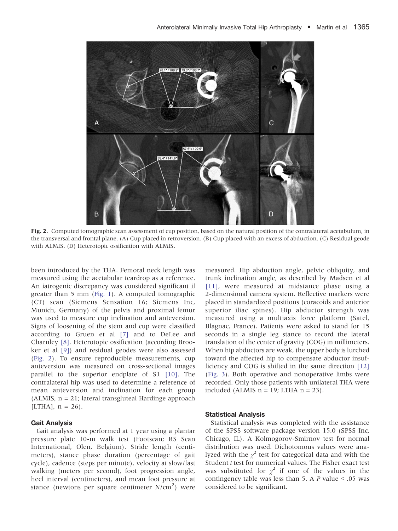<span id="page-3-0"></span>

Fig. 2. Computed tomographic scan assessment of cup position, based on the natural position of the contralateral acetabulum, in the transversal and frontal plane. (A) Cup placed in retroversion. (B) Cup placed with an excess of abduction. (C) Residual geode with ALMIS. (D) Heterotopic ossification with ALMIS.

been introduced by the THA. Femoral neck length was measured using the acetabular teardrop as a reference. An iatrogenic discrepancy was considered significant if greater than 5 mm ([Fig. 1](#page-1-0)). A computed tomographic (CT) scan (Siemens Sensation 16; Siemens Inc, Munich, Germany) of the pelvis and proximal femur was used to measure cup inclination and anteversion. Signs of loosening of the stem and cup were classified according to Gruen et al [\[7\]](#page-9-0) and to DeLee and Charnley [\[8\].](#page-9-0) Heterotopic ossification (according Brooker et al [\[9\]\)](#page-9-0) and residual geodes were also assessed (Fig. 2). To ensure reproducible measurements, cup anteversion was measured on cross-sectional images parallel to the superior endplate of S1 [\[10\].](#page-9-0) The contralateral hip was used to determine a reference of mean anteversion and inclination for each group (ALMIS, n = 21; lateral transgluteal Hardinge approach [LTHA],  $n = 26$ ].

# Gait Analysis

Gait analysis was performed at 1 year using a plantar pressure plate 10-m walk test (Footscan; RS Scan International, Olen, Belgium). Stride length (centimeters), stance phase duration (percentage of gait cycle), cadence (steps per minute), velocity at slow/fast walking (meters per second), foot progression angle, heel interval (centimeters), and mean foot pressure at stance (newtons per square centimeter  $N/cm<sup>2</sup>$ ) were

measured. Hip abduction angle, pelvic obliquity, and trunk inclination angle, as described by Madsen et al [\[11\],](#page-9-0) were measured at midstance phase using a 2-dimensional camera system. Reflective markers were placed in standardized positions (coracoids and anterior superior iliac spines). Hip abductor strength was measured using a multiaxis force platform (Satel, Blagnac, France). Patients were asked to stand for 15 seconds in a single leg stance to record the lateral translation of the center of gravity (COG) in millimeters. When hip abductors are weak, the upper body is lurched toward the affected hip to compensate abductor insufficiency and COG is shifted in the same direction [\[12\]](#page-9-0) [\(Fig. 3\)](#page-4-0). Both operative and nonoperative limbs were recorded. Only those patients with unilateral THA were included (ALMIS  $n = 19$ ; LTHA  $n = 23$ ).

## Statistical Analysis

Statistical analysis was completed with the assistance of the SPSS software package version 15.0 (SPSS Inc, Chicago, IL). A Kolmogorov-Smirnov test for normal distribution was used. Dichotomous values were analyzed with the  $\chi^2$  test for categorical data and with the Student t test for numerical values. The Fisher exact test was substituted for  $\chi^2$  if one of the values in the contingency table was less than 5. A  $P$  value  $\le$  .05 was considered to be significant.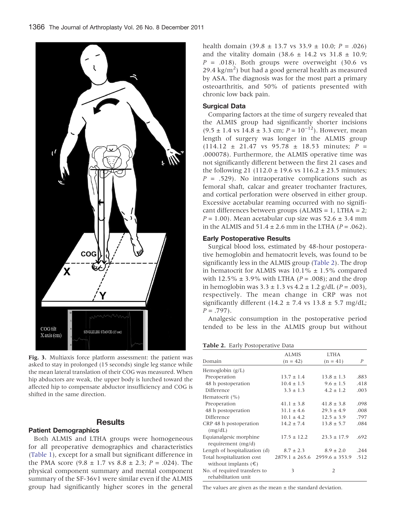<span id="page-4-0"></span>

Fig. 3. Multiaxis force platform assessment: the patient was asked to stay in prolonged (15 seconds) single leg stance while the mean lateral translation of their COG was measured. When hip abductors are weak, the upper body is lurched toward the affected hip to compensate abductor insufficiency and COG is shifted in the same direction.

# Results

# Patient Demographics

Both ALMIS and LTHA groups were homogeneous for all preoperative demographics and characteristics [\(Table 1](#page-2-0)), except for a small but significant difference in the PMA score  $(9.8 \pm 1.7 \text{ vs } 8.8 \pm 2.3; P = .024)$ . The physical component summary and mental component summary of the SF-36v1 were similar even if the ALMIS group had significantly higher scores in the general health domain  $(39.8 \pm 13.7 \text{ vs } 33.9 \pm 10.0; P = .026)$ and the vitality domain  $(38.6 \pm 14.2 \text{ vs } 31.8 \pm 10.9)$ ;  $P = .018$ ). Both groups were overweight (30.6 vs  $29.4 \text{ kg/m}^2$ ) but had a good general health as measured by ASA. The diagnosis was for the most part a primary osteoarthritis, and 50% of patients presented with chronic low back pain.

# Surgical Data

Comparing factors at the time of surgery revealed that the ALMIS group had significantly shorter incisions  $(9.5 \pm 1.4 \text{ vs } 14.8 \pm 3.3 \text{ cm}; P = 10^{-12})$ . However, mean length of surgery was longer in the ALMIS group  $(114.12 \pm 21.47 \text{ vs } 95.78 \pm 18.53 \text{ minutes}; P =$ .000078). Furthermore, the ALMIS operative time was not significantly different between the first 21 cases and the following 21 (112.0  $\pm$  19.6 vs 116.2  $\pm$  23.5 minutes;  $P = .529$ ). No intraoperative complications such as femoral shaft, calcar and greater trochanter fractures, and cortical perforation were observed in either group. Excessive acetabular reaming occurred with no significant differences between groups (ALMIS = 1, LTHA = 2;  $P = 1.00$ ). Mean acetabular cup size was  $52.6 \pm 3.4$  mm in the ALMIS and  $51.4 \pm 2.6$  mm in the LTHA ( $P = .062$ ).

## Early Postoperative Results

Surgical blood loss, estimated by 48-hour postoperative hemoglobin and hematocrit levels, was found to be significantly less in the ALMIS group (Table 2). The drop in hematocrit for ALMIS was  $10.1\% \pm 1.5\%$  compared with 12.5%  $\pm$  3.9% with LTHA (*P* = .008); and the drop in hemoglobin was  $3.3 \pm 1.3$  vs  $4.2 \pm 1.2$  g/dL ( $P = .003$ ), respectively. The mean change in CRP was not significantly different (14.2  $\pm$  7.4 vs 13.8  $\pm$  5.7 mg/dL;  $P = .797$ .

Analgesic consumption in the postoperative period tended to be less in the ALMIS group but without

Table 2. Early Postoperative Data

|                               | <b>ALMIS</b>    | <b>LTHA</b>                           |                  |
|-------------------------------|-----------------|---------------------------------------|------------------|
| Domain                        | $(n = 42)$      | $(n = 41)$                            | $\boldsymbol{P}$ |
| Hemoglobin $(g/L)$            |                 |                                       |                  |
| Preoperation                  | $13.7 \pm 1.4$  | $13.8 \pm 1.3$                        | .883             |
| 48 h postoperation            | $10.4 \pm 1.5$  | $9.6 \pm 1.5$                         | .418             |
| Difference                    | $3.3 \pm 1.3$   | $4.2 \pm 1.2$                         | .003             |
| Hematocrit (%)                |                 |                                       |                  |
| Preoperation                  | $41.1 \pm 3.8$  | $41.8 \pm 3.8$                        | .098             |
| 48 h postoperation            | $31.1 \pm 4.6$  | $29.3 \pm 4.9$                        | .008             |
| Difference                    | $10.1 \pm 4.2$  | $12.5 \pm 3.9$                        | .797             |
| CRP 48 h postoperation        | $14.2 \pm 7.4$  | $13.8 \pm 5.7$                        | .084             |
| (mg/dL)                       |                 |                                       |                  |
| Equianalgesic morphine        | $17.5 \pm 12.2$ | $23.3 \pm 17.9$                       | .692             |
| requirement (mg/d)            |                 |                                       |                  |
| Length of hospitalization (d) | $8.7 \pm 2.3$   | $8.9 \pm 2.0$                         | .244             |
| Total hospitalization cost    |                 | $2879.1 \pm 265.6$ 2959.6 $\pm$ 353.9 | .512             |
| without implants $(\epsilon)$ |                 |                                       |                  |
| No. of required transfers to  | 3               | $\overline{2}$                        |                  |
| rehabilitation unit           |                 |                                       |                  |

The values are given as the mean  $\pm$  the standard deviation.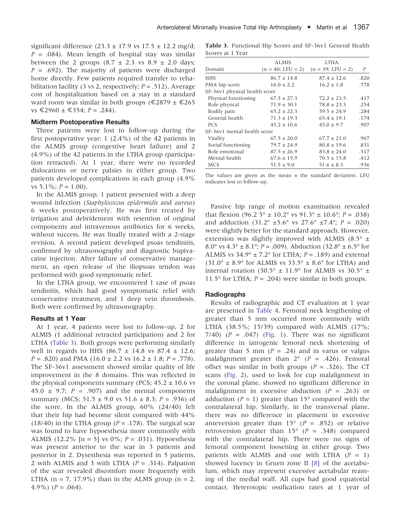significant difference  $(23.3 \pm 17.9 \text{ vs } 17.5 \pm 12.2 \text{ mg/d})$ ;  $P = .084$ ). Mean length of hospital stay was similar between the 2 groups  $(8.7 \pm 2.3 \text{ vs } 8.9 \pm 2.0 \text{ days})$  $P = .692$ ). The majority of patients were discharged home directly. Few patients required transfer to rehabilitation facility (3 vs 2, respectively;  $P = .512$ ). Average cost of hospitalization based on a stay in a standard ward room was similar in both groups ( $\epsilon$ 2879 ±  $\epsilon$ 265  $vs \text{ €}2960 \pm \text{ €}354; P = .244$ .

### Midterm Postoperative Results

Three patients were lost to follow-up during the first postoperative year: 1 (2.4%) of the 42 patients in the ALMIS group (congestive heart failure) and 2 (4.9%) of the 42 patients in the LTHA group (participation retracted). At 1 year, there were no recorded dislocations or nerve palsies in either group. Two patients developed complications in each group (4.9% vs  $5.1\%$ ;  $P = 1.00$ ).

In the ALMIS group, 1 patient presented with a deep wound infection (Staphylococcus epidermidis and aureus) 6 weeks postoperatively. He was first treated by irrigation and debridement with retention of original components and intravenous antibiotics for 6 weeks, without success. He was finally treated with a 2-stage revision. A second patient developed psoas tendinitis, confirmed by ultrasonography and diagnostic bupivacaine injection. After failure of conservative management, an open release of the iliopsoas tendon was performed with good symptomatic relief.

In the LTHA group, we encountered 1 case of psoas tendinitis, which had good symptomatic relief with conservative treatment, and 1 deep vein thrombosis. Both were confirmed by ultrasonography.

### Results at 1 Year

At 1 year, 4 patients were lost to follow-up, 2 for ALMIS (1 additional retracted participation) and 2 for LTHA (Table 3). Both groups were performing similarly well in regards to HHS (86.7  $\pm$  14.8 vs 87.4  $\pm$  12.6;  $P = .820$ ) and PMA (16.0  $\pm$  2.2 vs 16.2  $\pm$  1.8; P = .778). The SF-36v1 assessment showed similar quality of life improvement in the 8 domains. This was reflected in the physical components summary (PCS;  $45.2 \pm 10.6$  vs 45.0  $\pm$  9.7; P = .907) and the mental components summary (MCS;  $51.5 \pm 9.0$  vs  $51.6 \pm 8.3$ ;  $P = .936$ ) of the score. In the ALMIS group, 60% (24/40) felt that their hip had become silent compared with 44% (18/40) in the LTHA group ( $P = .178$ ). The surgical scar was found to have hypoesthesia more commonly with ALMIS (12.2% [n = 5] vs 0%;  $P = .031$ ). Hypoesthesia was present anterior to the scar in 3 patients and posterior in 2. Dysesthesia was reported in 5 patients, 2 with ALMIS and 3 with LTHA  $(P = .314)$ . Palpation of the scar revealed discomfort more frequently with LTHA ( $n = 7$ , 17.9%) than in the ALMS group ( $n = 2$ , 4.9%)  $(P=.064)$ .

Table 3. Functional Hip Scores and SF-36v1 General Health Scores at 1 Year

|                               | <b>ALMIS</b>        | <b>LTHA</b>         |      |
|-------------------------------|---------------------|---------------------|------|
| Domain                        | $(n = 40;$ LFU = 2) | $(n = 39;$ LFU = 2) | P    |
| <b>HHS</b>                    | $86.7 \pm 14.8$     | $87.4 \pm 12.6$     | .820 |
| PMA hip score                 | $16.0 \pm 2.2$      | $16.2 \pm 1.8$      | .778 |
| SF-36v1 physical health score |                     |                     |      |
| Physical functioning          | $67.5 \pm 27.3$     | $72.2 \pm 23.5$     | .417 |
| Role physical                 | $71.9 \pm 30.1$     | $78.8 \pm 23.3$     | .254 |
| Bodily pain                   | $65.2 \pm 22.3$     | $59.5 \pm 24.9$     | .284 |
| General health                | $71.3 \pm 19.3$     | $65.4 \pm 19.1$     | .174 |
| <b>PCS</b>                    | $45.2 \pm 10.6$     | $45.0 \pm 9.7$      | .907 |
| SF-36y1 mental health score   |                     |                     |      |
| Vitality                      | $67.5 \pm 20.0$     | $67.7 \pm 21.0$     | .967 |
| Social functioning            | $79.7 \pm 24.9$     | $80.8 \pm 19.6$     | .831 |
| Role emotional                | $87.5 \pm 26.9$     | $83.8 \pm 24.0$     | .517 |
| Mental health                 | $67.6 \pm 15.9$     | $70.5 \pm 15.8$     | .412 |
| MCS                           | $51.5 \pm 9.0$      | $51.6 \pm 8.3$      | .936 |

The values are given as the mean  $\pm$  the standard deviation. LFU indicates lost to follow-up.

Passive hip range of motion examination revealed that flexion  $(96.25° \pm 10.2° \text{ vs } 91.3° \pm 10.6°; P = .038)$ and adduction  $(31.2^{\circ} \pm 5.6^{\circ} \text{ vs } 27.6^{\circ} \pm 7.4^{\circ})$ ;  $P = .020$ ) were slightly better for the standard approach. However, extension was slightly improved with ALMIS (8.5 $\degree$  ± 8.0° vs  $4.3^{\circ} \pm 8.1^{\circ}$ ;  $P = .009$ ). Abduction  $(32.8^{\circ} \pm 6.5^{\circ}$  for ALMIS vs  $34.9^{\circ} \pm 7.2^{\circ}$  for LTHA;  $P = .189$ ) and external  $(31.0^{\circ} \pm 8.9^{\circ}$  for ALMIS vs  $33.5^{\circ} \pm 8.6^{\circ}$  for LTHA) and internal rotation (30.5°  $\pm$  11.9° for ALMIS vs 30.5°  $\pm$ 11.5° for LTHA;  $P = .204$ ) were similar in both groups.

### Radiographs

Results of radiographic and CT evaluation at 1 year are presented in [Table 4.](#page-6-0) Femoral neck lengthening of greater than 5 mm occurred more commonly with LTHA (38.5%; 15/39) compared with ALMIS (17%; 7/40) ( $P = .047$ ) ([Fig. 1](#page-1-0)). There was no significant difference in iatrogenic femoral neck shortening of greater than 5 mm ( $P = .24$ ) and in varus or valgus malalignment greater than  $2^{\circ}$  (P = .426). Femoral offset was similar in both groups ( $P = .326$ ). The CT scans [\(Fig. 2](#page-3-0)), used to look for cup malalignment in the coronal plane, showed no significant difference in malalignment in excessive abduction  $(P = .263)$  or adduction ( $P = 1$ ) greater than 15° compared with the contralateral hip. Similarly, in the transversal plane, there was no difference in placement in excessive anteversion greater than  $15^{\circ}$  (P = .852) or relative retroversion greater than  $15^{\circ}$  (P = .348) compared with the contralateral hip. There were no signs of femoral component loosening in either group. Two patients with ALMIS and one with LTHA  $(P = 1)$ showed lucency in Gruen zone II [\[8\]](#page-9-0) of the acetabulum, which may represent excessive acetabular reaming of the medial wall. All cups had good equatorial contact. Heterotopic ossification rates at 1 year of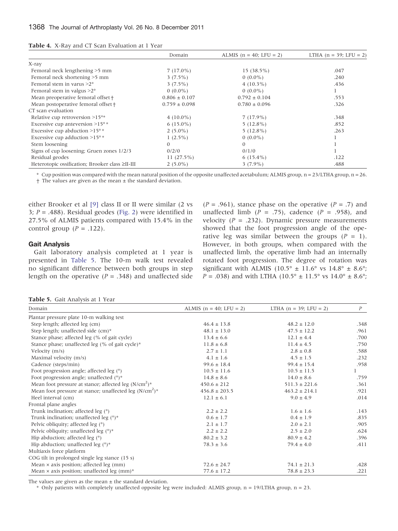<span id="page-6-0"></span>

| <b>Table 4.</b> X-Ray and CT Scan Evaluation at 1 Year |  |  |  |  |
|--------------------------------------------------------|--|--|--|--|
|--------------------------------------------------------|--|--|--|--|

|                                                 | Domain            | ALMIS $(n = 40;$ LFU = 2) | LTHA $(n = 39;$ LFU = 2) |
|-------------------------------------------------|-------------------|---------------------------|--------------------------|
| X-ray                                           |                   |                           |                          |
| Femoral neck lengthening >5 mm                  | $7(17.0\%)$       | $15(38.5\%)$              | .047                     |
| Femoral neck shortening >5 mm                   | $3(7.5\%)$        | $0(0.0\%)$                | .240                     |
| Femoral stem in varus $>2^{\circ}$              | $3(7.5\%)$        | $4(10.3\%)$               | .436                     |
| Femoral stem in valgus $>2^{\circ}$             | $0(0.0\%)$        | $0(0.0\%)$                | 1                        |
| Mean preoperative femoral offset +              | $0.806 \pm 0.107$ | $0.792 \pm 0.104$         | .553                     |
| Mean postoperative femoral offset +             | $0.759 \pm 0.098$ | $0.780 \pm 0.096$         | .326                     |
| CT scan evaluation                              |                   |                           |                          |
| Relative cup retroversion $>15$ °*              | $4(10.0\%)$       | $7(17.9\%)$               | .348                     |
| Excessive cup anteversion >15°*                 | $6(15.0\%)$       | $5(12.8\%)$               | .852                     |
| Excessive cup abduction >15°*                   | $2(5.0\%)$        | $5(12.8\%)$               | .263                     |
| Excessive cup adduction $>15^\circ$ *           | $1(2.5\%)$        | $0(0.0\%)$                |                          |
| Stem loosening                                  | 0                 | $\theta$                  |                          |
| Signs of cup loosening; Gruen zones 1/2/3       | 0/2/0             | 0/1/0                     |                          |
| Residual geodes                                 | 11 $(27.5\%)$     | $6(15.4\%)$               | .122                     |
| Heterotopic ossification; Brooker class ≥II-III | $2(5.0\%)$        | $3(7.9\%)$                | .488                     |

\* Cup position was compared with the mean natural position of the opposite unaffected acetabulum; ALMIS group, n = 23/LTHA group, n = 26. † The values are given as the mean ± the standard deviation.

either Brooker et al [\[9\]](#page-9-0) class II or II were similar (2 vs 3;  $P = .488$ ). Residual geodes ([Fig. 2](#page-3-0)) were identified in

27.5% of ALMIS patients compared with 15.4% in the

Gait Analysis

Gait laboratory analysis completed at 1 year is presented in Table 5. The 10-m walk test revealed no significant difference between both groups in step length on the operative ( $P = .348$ ) and unaffected side  $(P = .961)$ , stance phase on the operative  $(P = .7)$  and unaffected limb ( $P = .75$ ), cadence ( $P = .958$ ), and velocity ( $P = .232$ ). Dynamic pressure measurements showed that the foot progression angle of the operative leg was similar between the groups  $(P = 1)$ . However, in both groups, when compared with the unaffected limb, the operative limb had an internally rotated foot progression. The degree of rotation was significant with ALMIS (10.5°  $\pm$  11.6° vs 14.8°  $\pm$  8.6°;  $P = .038$ ) and with LTHA (10.5° ± 11.5° vs 14.0° ± 8.6°;

Table 5. Gait Analysis at 1 Year

control group  $(P = .122)$ .

| Domain                                                              | ALMIS $(n = 40;$ LFU = 2) | LTHA $(n = 39;$ LFU = 2) | P    |
|---------------------------------------------------------------------|---------------------------|--------------------------|------|
| Plantar pressure plate 10-m walking test                            |                           |                          |      |
| Step length; affected leg (cm)                                      | $46.4 \pm 13.8$           | $48.2 \pm 12.0$          | .348 |
| Step length; unaffected side (cm)*                                  | $48.1 \pm 13.0$           | $47.5 \pm 12.2$          | .961 |
| Stance phase; affected leg (% of gait cycle)                        | $13.4 \pm 6.6$            | $12.1 \pm 4.4$           | .700 |
| Stance phase; unaffected leg (% of gait cycle)*                     | $11.8 \pm 6.8$            | $11.4 \pm 4.5$           | .750 |
| Velocity (m/s)                                                      | $2.7 \pm 1.1$             | $2.8 \pm 0.8$            | .588 |
| Maximal velocity (m/s)                                              | $4.1 \pm 1.6$             | $4.5 \pm 1.5$            | .232 |
| Cadence (steps/min)                                                 | $99.6 \pm 18.4$           | $99.4 \pm 15.4$          | .958 |
| Foot progression angle; affected leg $(°)$                          | $10.5 \pm 11.6$           | $10.5 \pm 11.5$          |      |
| Foot progression angle; unaffected $(°)$ *                          | $14.8 \pm 8.6$            | $14.0 \pm 8.6$           | .759 |
| Mean foot pressure at stance; affected leg $(N/cm2)$ <sup>*</sup>   | $450.6 \pm 212$           | $511.3 \pm 221.6$        | .361 |
| Mean foot pressure at stance; unaffected leg $(N/cm2)$ <sup>*</sup> | $456.8 \pm 203.5$         | $463.2 \pm 214.1$        | .921 |
| Heel interval (cm)                                                  | $12.1 \pm 6.1$            | $9.0 \pm 4.9$            | .014 |
| Frontal plane angles                                                |                           |                          |      |
| Trunk inclination; affected leg $(°)$                               | $2.2 \pm 2.2$             | $1.6 \pm 1.6$            | .143 |
| Trunk inclination; unaffected leg $(°)$ *                           | $0.6 \pm 1.7$             | $0.4 \pm 1.9$            | .835 |
| Pelvic obliquity; affected leg (°)                                  | $2.1 \pm 1.7$             | $2.0 \pm 2.1$            | .905 |
| Pelvic obliquity; unaffected leg $(°)$ *                            | $2.2 \pm 2.2$             | $2.5 \pm 2.0$            | .624 |
| Hip abduction; affected leg $(°)$                                   | $80.2 \pm 3.2$            | $80.9 \pm 4.2$           | .396 |
| Hip abduction; unaffected leg $(°)$ *                               | $78.3 \pm 3.6$            | $79.4 \pm 4.0$           | .411 |
| Multiaxis force platform                                            |                           |                          |      |
| COG tilt in prolonged single leg stance (15 s)                      |                           |                          |      |
| Mean $\times$ axis position; affected leg (mm)                      | $72.6 \pm 24.7$           | $74.1 \pm 21.3$          | .428 |
| Mean $\times$ axis position; unaffected leg (mm)*                   | $77.6 \pm 17.2$           | $78.8 \pm 23.3$          | .221 |

The values are given as the mean  $\pm$  the standard deviation.

\* Only patients with completely unaffected opposite leg were included: ALMIS group, n = 19/LTHA group, n = 23.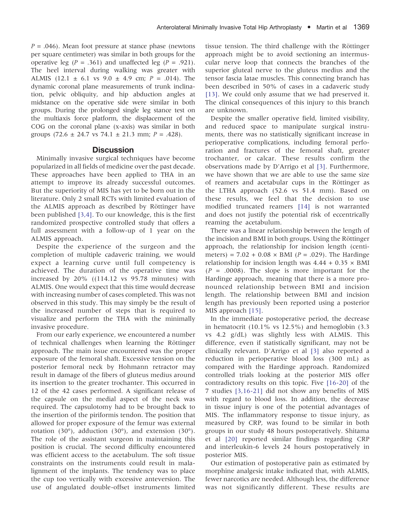$P = .046$ ). Mean foot pressure at stance phase (newtons per square centimeter) was similar in both groups for the operative leg ( $P = .361$ ) and unaffected leg ( $P = .921$ ). The heel interval during walking was greater with ALMIS (12.1  $\pm$  6.1 vs 9.0  $\pm$  4.9 cm;  $P = .014$ ). The dynamic coronal plane measurements of trunk inclination, pelvic obliquity, and hip abduction angles at midstance on the operative side were similar in both groups. During the prolonged single leg stance test on the multiaxis force platform, the displacement of the COG on the coronal plane (x-axis) was similar in both groups  $(72.6 \pm 24.7 \text{ vs } 74.1 \pm 21.3 \text{ mm}; P = .428)$ .

## **Discussion**

Minimally invasive surgical techniques have become popularized in all fields of medicine over the past decade. These approaches have been applied to THA in an attempt to improve its already successful outcomes. But the superiority of MIS has yet to be born out in the literature. Only 2 small RCTs with limited evaluation of the ALMIS approach as described by Röttinger have been published [\[3,4\].](#page-9-0) To our knowledge, this is the first randomized prospective controlled study that offers a full assessment with a follow-up of 1 year on the ALMIS approach.

Despite the experience of the surgeon and the completion of multiple cadaveric training, we would expect a learning curve until full competency is achieved. The duration of the operative time was increased by 20% ((114.12 vs 95.78 minutes) with ALMIS. One would expect that this time would decrease with increasing number of cases completed. This was not observed in this study. This may simply be the result of the increased number of steps that is required to visualize and perform the THA with the minimally invasive procedure.

From our early experience, we encountered a number of technical challenges when learning the Röttinger approach. The main issue encountered was the proper exposure of the femoral shaft. Excessive tension on the posterior femoral neck by Hohmann retractor may result in damage of the fibers of gluteus medius around its insertion to the greater trochanter. This occurred in 12 of the 42 cases performed. A significant release of the capsule on the medial aspect of the neck was required. The capsulotomy had to be brought back to the insertion of the piriformis tendon. The position that allowed for proper exposure of the femur was external rotation (30°), adduction (30°), and extension (30°). The role of the assistant surgeon in maintaining this position is crucial. The second difficulty encountered was efficient access to the acetabulum. The soft tissue constraints on the instruments could result in malalignment of the implants. The tendency was to place the cup too vertically with excessive anteversion. The use of angulated double-offset instruments limited

tissue tension. The third challenge with the Röttinger approach might be to avoid sectioning an intermuscular nerve loop that connects the branches of the superior gluteal nerve to the gluteus medius and the tensor fascia latae muscles. This connecting branch has been described in 50% of cases in a cadaveric study [\[13\]](#page-9-0). We could only assume that we had preserved it. The clinical consequences of this injury to this branch are unknown.

Despite the smaller operative field, limited visibility, and reduced space to manipulate surgical instruments, there was no statistically significant increase in perioperative complications, including femoral perforation and fractures of the femoral shaft, greater trochanter, or calcar. These results confirm the observations made by D'Arrigo et al [\[3\].](#page-9-0) Furthermore, we have shown that we are able to use the same size of reamers and acetabular cups in the Röttinger as the LTHA approach (52.6 vs 51.4 mm). Based on these results, we feel that the decision to use modified truncated reamers [\[14\]](#page-9-0) is not warranted and does not justify the potential risk of eccentrically reaming the acetabulum.

There was a linear relationship between the length of the incision and BMI in both groups. Using the Röttinger approach, the relationship for incision length (centimeters) =  $7.02 + 0.08 \times$  BMI (*P* = .029). The Hardinge relationship for incision length was  $4.44 + 0.35 \times$  BMI  $(P = .0008)$ . The slope is more important for the Hardinge approach, meaning that there is a more pronounced relationship between BMI and incision length. The relationship between BMI and incision length has previously been reported using a posterior MIS approach [\[15\].](#page-9-0)

In the immediate postoperative period, the decrease in hematocrit (10.1% vs 12.5%) and hemoglobin (3.3 vs 4.2 g/dL) was slightly less with ALMIS. This difference, even if statistically significant, may not be clinically relevant. D'Arrigo et al [\[3\]](#page-9-0) also reported a reduction in perioperative blood loss (300 mL) as compared with the Hardinge approach. Randomized controlled trials looking at the posterior MIS offer contradictory results on this topic. Five [\[16-20\]](#page-10-0) of the 7 studies [\[3,16-21\]](#page-9-0) did not show any benefits of MIS with regard to blood loss. In addition, the decrease in tissue injury is one of the potential advantages of MIS. The inflammatory response to tissue injury, as measured by CRP, was found to be similar in both groups in our study 48 hours postoperatively. Shitama et al [\[20\]](#page-10-0) reported similar findings regarding CRP and interleukin-6 levels 24 hours postoperatively in posterior MIS.

Our estimation of postoperative pain as estimated by morphine analgesic intake indicated that, with ALMIS, fewer narcotics are needed. Although less, the difference was not significantly different. These results are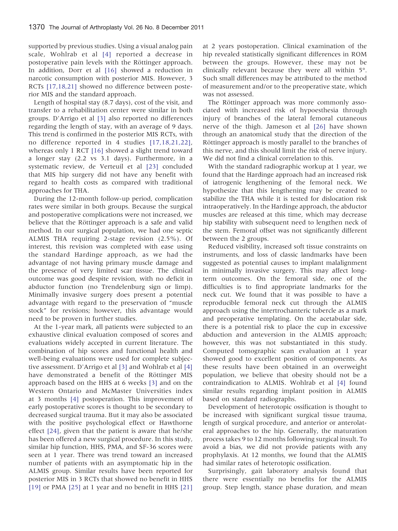supported by previous studies. Using a visual analog pain scale, Wohlrab et al [\[4\]](#page-9-0) reported a decrease in postoperative pain levels with the Röttinger approach. In addition, Dorr et al [\[16\]](#page-10-0) showed a reduction in narcotic consumption with posterior MIS. However, 3 RCTs [\[17,18,21\]](#page-10-0) showed no difference between posterior MIS and the standard approach.

Length of hospital stay (8.7 days), cost of the visit, and transfer to a rehabilitation center were similar in both groups. D'Arrigo et al [\[3\]](#page-9-0) also reported no differences regarding the length of stay, with an average of 9 days. This trend is confirmed in the posterior MIS RCTs, with no difference reported in 4 studies [\[17,18,21,22\],](#page-10-0) whereas only 1 RCT [\[16\]](#page-10-0) showed a slight trend toward a longer stay (2.2 vs 3.1 days). Furthermore, in a systematic review, de Verteuil et al [\[23\]](#page-10-0) concluded that MIS hip surgery did not have any benefit with regard to health costs as compared with traditional approaches for THA.

During the 12-month follow-up period, complication rates were similar in both groups. Because the surgical and postoperative complications were not increased, we believe that the Röttinger approach is a safe and valid method. In our surgical population, we had one septic ALMIS THA requiring 2-stage revision (2.5%). Of interest, this revision was completed with ease using the standard Hardinge approach, as we had the advantage of not having primary muscle damage and the presence of very limited scar tissue. The clinical outcome was good despite revision, with no deficit in abductor function (no Trendelenburg sign or limp). Minimally invasive surgery does present a potential advantage with regard to the preservation of "muscle stock" for revisions; however, this advantage would need to be proven in further studies.

At the 1-year mark, all patients were subjected to an exhaustive clinical evaluation composed of scores and evaluations widely accepted in current literature. The combination of hip scores and functional health and well-being evaluations were used for complete subjective assessment. D'Arrigo et al [\[3\]](#page-9-0) and Wohlrab et al [\[4\]](#page-9-0) have demonstrated a benefit of the Röttinger MIS approach based on the HHS at 6 weeks [\[3\]](#page-9-0) and on the Western Ontario and McMaster Universities index at 3 months [\[4\]](#page-9-0) postoperation. This improvement of early postoperative scores is thought to be secondary to decreased surgical trauma. But it may also be associated with the positive psychological effect or Hawthorne effect [\[24\],](#page-10-0) given that the patient is aware that he/she has been offered a new surgical procedure. In this study, similar hip function, HHS, PMA, and SF-36 scores were seen at 1 year. There was trend toward an increased number of patients with an asymptomatic hip in the ALMIS group. Similar results have been reported for posterior MIS in 3 RCTs that showed no benefit in HHS [\[19\]](#page-10-0) or PMA [\[25\]](#page-10-0) at 1 year and no benefit in HHS [\[21\]](#page-10-0)

at 2 years postoperation. Clinical examination of the hip revealed statistically significant differences in ROM between the groups. However, these may not be clinically relevant because they were all within 5°. Such small differences may be attributed to the method of measurement and/or to the preoperative state, which was not assessed.

The Röttinger approach was more commonly associated with increased risk of hypoesthesia through injury of branches of the lateral femoral cutaneous nerve of the thigh. Jameson et al [\[26\]](#page-10-0) have shown through an anatomical study that the direction of the Röttinger approach is mostly parallel to the branches of this nerve, and this should limit the risk of nerve injury. We did not find a clinical correlation to this.

With the standard radiographic workup at 1 year, we found that the Hardinge approach had an increased risk of iatrogenic lengthening of the femoral neck. We hypothesize that this lengthening may be created to stabilize the THA while it is tested for dislocation risk intraoperatively. In the Hardinge approach, the abductor muscles are released at this time, which may decrease hip stability with subsequent need to lengthen neck of the stem. Femoral offset was not significantly different between the 2 groups.

Reduced visibility, increased soft tissue constraints on instruments, and loss of classic landmarks have been suggested as potential causes to implant malalignment in minimally invasive surgery. This may affect longterm outcomes. On the femoral side, one of the difficulties is to find appropriate landmarks for the neck cut. We found that it was possible to have a reproducible femoral neck cut through the ALMIS approach using the intertrochanteric tubercle as a mark and preoperative templating. On the acetabular side, there is a potential risk to place the cup in excessive abduction and anteversion in the ALMIS approach; however, this was not substantiated in this study. Computed tomographic scan evaluation at 1 year showed good to excellent position of components. As these results have been obtained in an overweight population, we believe that obesity should not be a contraindication to ALMIS. Wohlrab et al [\[4\]](#page-9-0) found similar results regarding implant position in ALMIS based on standard radiographs.

Development of heterotopic ossification is thought to be increased with significant surgical tissue trauma, length of surgical procedure, and anterior or anterolateral approaches to the hip. Generally, the maturation process takes 9 to 12 months following surgical insult. To avoid a bias, we did not provide patients with any prophylaxis. At 12 months, we found that the ALMIS had similar rates of heterotopic ossification.

Surprisingly, gait laboratory analysis found that there were essentially no benefits for the ALMIS group. Step length, stance phase duration, and mean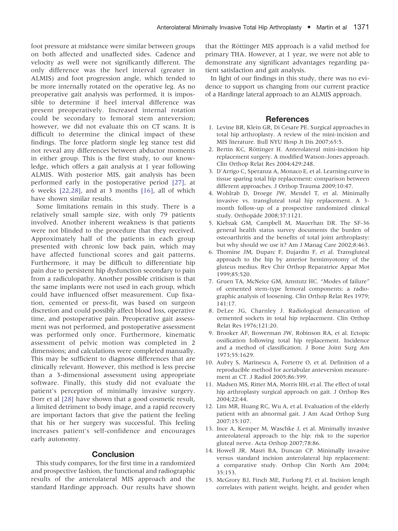<span id="page-9-0"></span>foot pressure at midstance were similar between groups on both affected and unaffected sides. Cadence and velocity as well were not significantly different. The only difference was the heel interval (greater in ALMIS) and foot progression angle, which tended to be more internally rotated on the operative leg. As no preoperative gait analysis was performed, it is impossible to determine if heel interval difference was present preoperatively. Increased internal rotation could be secondary to femoral stem anteversion; however, we did not evaluate this on CT scans. It is difficult to determine the clinical impact of these findings. The force platform single leg stance test did not reveal any differences between abductor moments in either group. This is the first study, to our knowledge, which offers a gait analysis at 1 year following ALMIS. With posterior MIS, gait analysis has been performed early in the postoperative period [\[27\]](#page-10-0), at 6 weeks [\[22,28\],](#page-10-0) and at 3 months [\[16\],](#page-10-0) all of which have shown similar results.

Some limitations remain in this study. There is a relatively small sample size, with only 79 patients involved. Another inherent weakness is that patients were not blinded to the procedure that they received. Approximately half of the patients in each group presented with chronic low back pain, which may have affected functional scores and gait patterns. Furthermore, it may be difficult to differentiate hip pain due to persistent hip dysfunction secondary to pain from a radiculopathy. Another possible criticism is that the same implants were not used in each group, which could have influenced offset measurement. Cup fixation, cemented or press-fit, was based on surgeon discretion and could possibly affect blood loss, operative time, and postoperative pain. Preoperative gait assessment was not performed, and postoperative assessment was performed only once. Furthermore, kinematic assessment of pelvic motion was completed in 2 dimensions; and calculations were completed manually. This may be sufficient to diagnose differences that are clinically relevant. However, this method is less precise than a 3-dimensional assessment using appropriate software. Finally, this study did not evaluate the patient's perception of minimally invasive surgery. Dorr et al [\[28\]](#page-10-0) have shown that a good cosmetic result, a limited detriment to body image, and a rapid recovery are important factors that give the patient the feeling that his or her surgery was successful. This feeling increases patient's self-confidence and encourages early autonomy.

# **Conclusion**

This study compares, for the first time in a randomized and prospective fashion, the functional and radiographic results of the anterolateral MIS approach and the standard Hardinge approach. Our results have shown

that the Röttinger MIS approach is a valid method for primary THA. However, at 1 year, we were not able to demonstrate any significant advantages regarding patient satisfaction and gait analysis.

In light of our findings in this study, there was no evidence to support us changing from our current practice of a Hardinge lateral approach to an ALMIS approach.

# **References**

- 1. Levine BR, Klein GR, Di Cesare PE. Surgical approaches in total hip arthroplasty. A review of the mini-incision and MIS literature. Bull NYU Hosp Jt Dis 2007;65:5.
- 2. Bertin KC, Röttinger H. Anterolateral mini-incision hip replacement surgery. A modified Watson-Jones approach. Clin Orthop Relat Res 2004;429:248.
- 3. D'Arrigo C, Speranza A, Monaco E, et al. Learning curve in tissue sparing total hip replacement: comparison between different approaches. J Orthop Trauma 2009;10:47.
- 4. Wohlrab D, Droege JW, Mendel T, et al. Minimally invasive vs. transgluteal total hip replacement. A 3 month follow-up of a prospective randomized clinical study. Orthopäde 2008;37:1121.
- 5. Kiebzak GM, Campbell M, Mauerhan DR. The SF-36 general health status survey documents the burden of osteoarthritis and the benefits of total joint arthroplasty: but why should we use it? Am J Manag Care 2002;8:463.
- 6. Thomine JM, Duparc F, Dujardin F, et al. Transgluteal approach to the hip by anterior hemimyotomy of the gluteus medius. Rev Chir Orthop Reparatrice Appar Mot 1999;85:520.
- 7. Gruen TA, McNeice GM, Amstutz HC. "Modes of failure" of cemented stem-type femoral components: a radiographic analysis of loosening. Clin Orthop Relat Res 1979; 141:17.
- 8. DeLee JG, Charnley J. Radiological demarcation of cemented sockets in total hip replacement. Clin Orthop Relat Res 1976;121:20.
- 9. Brooker AF, Bowerman JW, Robinson RA, et al. Ectopic ossification following total hip replacement. Incidence and a method of classification. J Bone Joint Surg Am 1973;55:1629.
- 10. Aubry S, Marinescu A, Forterre O, et al. Definition of a reproducible method for acetabular anteversion measurement at CT. J Radiol 2005;86:399.
- 11. Madsen MS, Ritter MA, Morris HH, et al. The effect of total hip arthroplasty surgical approach on gait. J Orthop Res 2004;22:44.
- 12. Lim MR, Huang RC, Wu A, et al. Evaluation of the elderly patient with an abnormal gait. J Am Acad Orthop Surg 2007;15:107.
- 13. Ince A, Kemper M, Waschke J, et al. Minimally invasive anterolateral approach to the hip: risk to the superior gluteal nerve. Acta Orthop 2007;78:86.
- 14. Howell JR, Masri BA, Duncan CP. Minimally invasive versus standard incision anterolateral hip replacement: a comparative study. Orthop Clin North Am 2004; 35:153.
- 15. McGrory BJ, Finch ME, Furlong PJ, et al. Incision length correlates with patient weight, height, and gender when